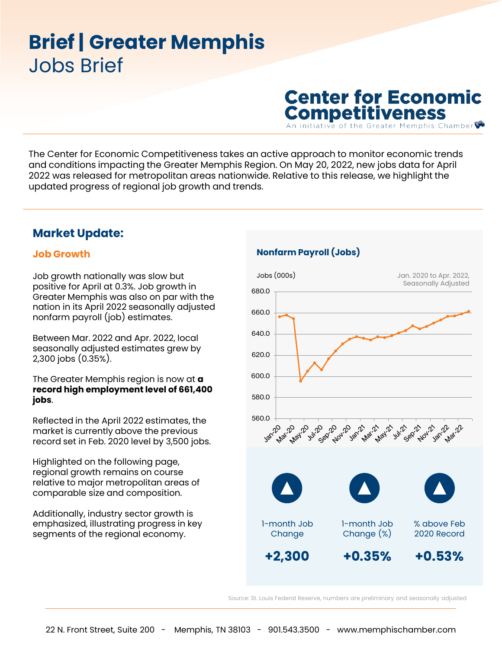# **Brief| Greater Memphis**  Jobs Brief

**Center for Economic Competitiveness** 

phis Chamber

The Center for Economic Competitiveness takes an active approach to monitor economic trends and conditions impacting the Greater Memphis Region. On May 20, 2022, new jobs data for April 2022 was released for metropolitan areas nationwide. Relative to this release, we highlight the updated progress of regional job growth and trends.

## **Market Update:**

### **Job Growth**

Job growth nationally was slow but positive for April at 0.3%. Job growth in Greater Memphis was also on par with the nation in its April 2022 seasonally adjusted nonfarm payroll (job) estimates.

Between Mar. 2022 and Apr. 2022, local seasonally adjusted estimates grew by 2,300 jobs (0.35%).

The Greater Memphis region is now at **a record high employment level of 661,400 jobs**.

Reflected in the April 2022 estimates, the market is currently above the previous record set in Feb. 2020 level by 3,500 jobs.

Highlighted on the following page, regional growth remains on course relative to major metropolitan areas of comparable size and composition.

Additionally, industry sector growth is emphasized, illustrating progress in key segments of the regional economy.

### **Nonfarm Payroll (Jobs)**



Source: St. Louis Federal Reserve, numbers are preliminary and seasonally adjusted